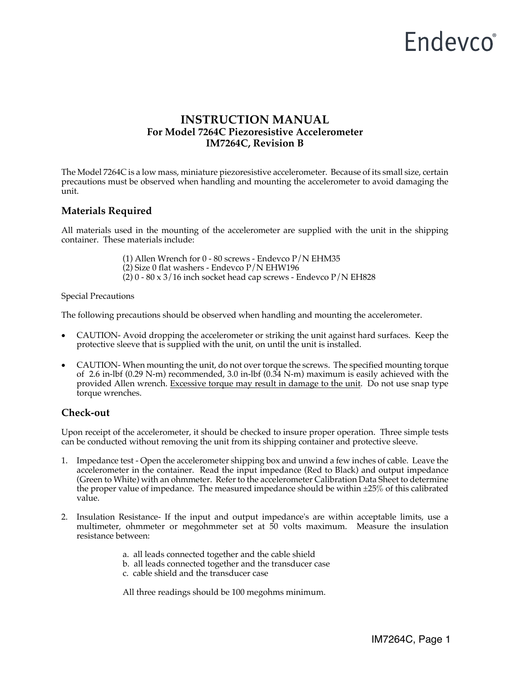# Endevco<sup>®</sup>

## **INSTRUCTION MANUAL For Model 7264C Piezoresistive Accelerometer IM7264C, Revision B**

The Model 7264C is a low mass, miniature piezoresistive accelerometer. Because of its small size, certain precautions must be observed when handling and mounting the accelerometer to avoid damaging the unit.

### **Materials Required**

All materials used in the mounting of the accelerometer are supplied with the unit in the shipping container. These materials include:

(1) Allen Wrench for 0 - 80 screws - Endevco P/N EHM35

(2) Size 0 flat washers - Endevco P/N EHW196

(2)  $0 - 80 \times 3/16$  inch socket head cap screws - Endevco  $P/N$  EH828

Special Precautions

The following precautions should be observed when handling and mounting the accelerometer.

- CAUTION- Avoid dropping the accelerometer or striking the unit against hard surfaces. Keep the protective sleeve that is supplied with the unit, on until the unit is installed.
- CAUTION- When mounting the unit, do not over torque the screws. The specified mounting torque of 2.6 in-lbf (0.29 N-m) recommended, 3.0 in-lbf (0.34 N-m) maximum is easily achieved with the provided Allen wrench. Excessive torque may result in damage to the unit. Do not use snap type torque wrenches.

#### **Check-out**

Upon receipt of the accelerometer, it should be checked to insure proper operation. Three simple tests can be conducted without removing the unit from its shipping container and protective sleeve.

- 1. Impedance test Open the accelerometer shipping box and unwind a few inches of cable. Leave the accelerometer in the container. Read the input impedance (Red to Black) and output impedance (Green to White) with an ohmmeter. Refer to the accelerometer Calibration Data Sheet to determine the proper value of impedance. The measured impedance should be within  $\pm 25\%$  of this calibrated value.
- 2. Insulation Resistance- If the input and output impedance's are within acceptable limits, use a multimeter, ohmmeter or megohmmeter set at 50 volts maximum. Measure the insulation resistance between:
	- a. all leads connected together and the cable shield
	- b. all leads connected together and the transducer case
	- c. cable shield and the transducer case

All three readings should be 100 megohms minimum.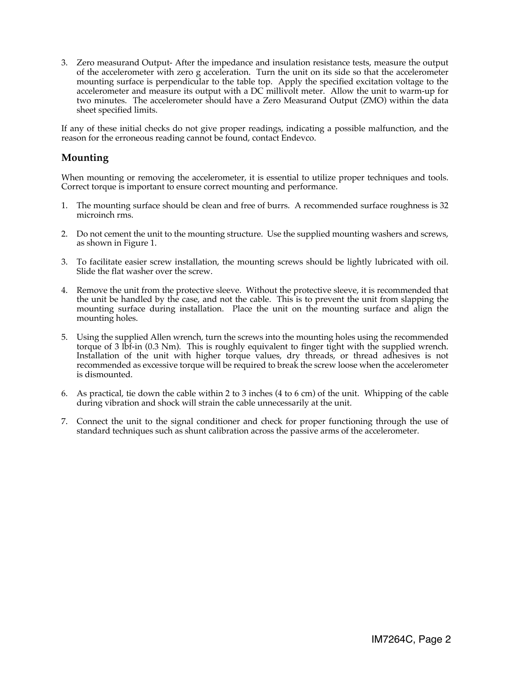3. Zero measurand Output- After the impedance and insulation resistance tests, measure the output of the accelerometer with zero g acceleration. Turn the unit on its side so that the accelerometer mounting surface is perpendicular to the table top. Apply the specified excitation voltage to the accelerometer and measure its output with a DC millivolt meter. Allow the unit to warm-up for two minutes. The accelerometer should have a Zero Measurand Output (ZMO) within the data sheet specified limits.

If any of these initial checks do not give proper readings, indicating a possible malfunction, and the reason for the erroneous reading cannot be found, contact Endevco.

#### **Mounting**

When mounting or removing the accelerometer, it is essential to utilize proper techniques and tools. Correct torque is important to ensure correct mounting and performance.

- 1. The mounting surface should be clean and free of burrs. A recommended surface roughness is 32 microinch rms.
- 2. Do not cement the unit to the mounting structure. Use the supplied mounting washers and screws, as shown in Figure 1.
- 3. To facilitate easier screw installation, the mounting screws should be lightly lubricated with oil. Slide the flat washer over the screw.
- 4. Remove the unit from the protective sleeve. Without the protective sleeve, it is recommended that the unit be handled by the case, and not the cable. This is to prevent the unit from slapping the mounting surface during installation. Place the unit on the mounting surface and align the mounting holes.
- 5. Using the supplied Allen wrench, turn the screws into the mounting holes using the recommended torque of 3 lbf-in (0.3 Nm). This is roughly equivalent to finger tight with the supplied wrench. Installation of the unit with higher torque values, dry threads, or thread adhesives is not recommended as excessive torque will be required to break the screw loose when the accelerometer is dismounted.
- 6. As practical, tie down the cable within 2 to 3 inches (4 to 6 cm) of the unit. Whipping of the cable during vibration and shock will strain the cable unnecessarily at the unit.
- 7. Connect the unit to the signal conditioner and check for proper functioning through the use of standard techniques such as shunt calibration across the passive arms of the accelerometer.